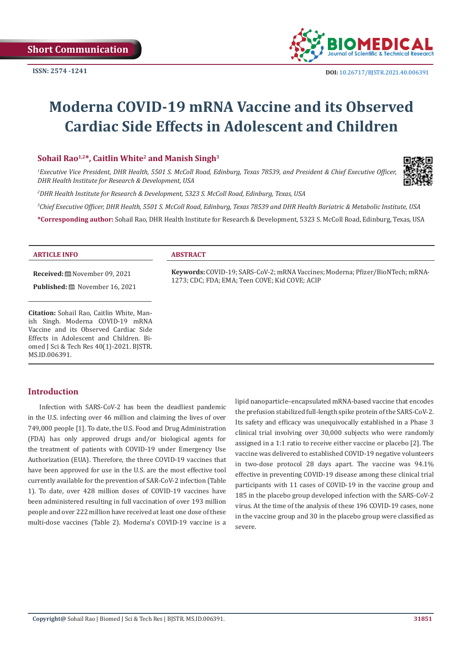

# **Moderna COVID-19 mRNA Vaccine and its Observed Cardiac Side Effects in Adolescent and Children**

### **Sohail Rao1,2\*, Caitlin White2 and Manish Singh3**

*1 Executive Vice President, DHR Health, 5501 S. McColl Road, Edinburg, Texas 78539, and President & Chief Executive Officer, DHR Health Institute for Research & Development, USA*

*2 DHR Health Institute for Research & Development, 5323 S. McColl Road, Edinburg, Texas, USA*

*3 Chief Executive Officer, DHR Health, 5501 S. McColl Road, Edinburg, Texas 78539 and DHR Health Bariatric & Metabolic Institute, USA*

**\*Corresponding author:** Sohail Rao, DHR Health Institute for Research & Development, 5323 S. McColl Road, Edinburg, Texas, USA

#### **ARTICLE INFO ABSTRACT**

**Received:** November 09, 2021

Published: **■** November 16, 2021

**Citation:** Sohail Rao, Caitlin White, Manish Singh. Moderna COVID-19 mRNA Vaccine and its Observed Cardiac Side Effects in Adolescent and Children. Biomed J Sci & Tech Res 40(1)-2021. BJSTR. MS.ID.006391.

**Keywords:** COVID-19; SARS-CoV-2; mRNA Vaccines; Moderna; Pfizer/BioNTech; mRNA-1273; CDC; FDA; EMA; Teen COVE; Kid COVE; ACIP

### **Introduction**

Infection with SARS-CoV-2 has been the deadliest pandemic in the U.S. infecting over 46 million and claiming the lives of over 749,000 people [1]. To date, the U.S. Food and Drug Administration (FDA) has only approved drugs and/or biological agents for the treatment of patients with COVID-19 under Emergency Use Authorization (EUA). Therefore, the three COVID-19 vaccines that have been approved for use in the U.S. are the most effective tool currently available for the prevention of SAR-CoV-2 infection (Table 1). To date, over 428 million doses of COVID-19 vaccines have been administered resulting in full vaccination of over 193 million people and over 222 million have received at least one dose of these multi-dose vaccines (Table 2). Moderna's COVID-19 vaccine is a lipid nanoparticle–encapsulated mRNA-based vaccine that encodes the prefusion stabilized full-length spike protein of the SARS-CoV-2. Its safety and efficacy was unequivocally established in a Phase 3 clinical trial involving over 30,000 subjects who were randomly assigned in a 1:1 ratio to receive either vaccine or placebo [2]. The vaccine was delivered to established COVID-19 negative volunteers in two-dose protocol 28 days apart. The vaccine was 94.1% effective in preventing COVID-19 disease among these clinical trial participants with 11 cases of COVID-19 in the vaccine group and 185 in the placebo group developed infection with the SARS-CoV-2 virus. At the time of the analysis of these 196 COVID-19 cases, none in the vaccine group and 30 in the placebo group were classified as severe.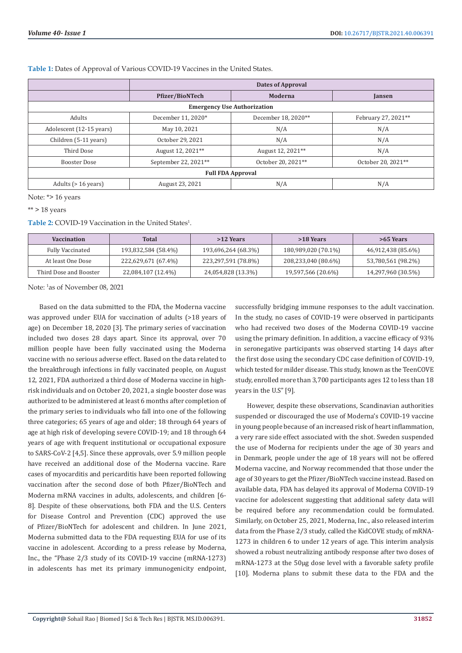|                                    | Dates of Approval      |                     |                     |  |  |  |
|------------------------------------|------------------------|---------------------|---------------------|--|--|--|
|                                    | <b>Pfizer/BioNTech</b> | Moderna             | Jansen              |  |  |  |
| <b>Emergency Use Authorization</b> |                        |                     |                     |  |  |  |
| <b>Adults</b>                      | December 11, 2020*     | December 18, 2020** | February 27, 2021** |  |  |  |
| Adolescent (12-15 years)           | May 10, 2021           | N/A                 | N/A                 |  |  |  |
| Children (5-11 years)              | October 29, 2021       | N/A                 | N/A                 |  |  |  |
| Third Dose                         | August 12, 2021**      | August 12, 2021**   | N/A                 |  |  |  |
| Booster Dose                       | September 22, 2021**   | October 20, 2021**  | October 20, 2021**  |  |  |  |
| <b>Full FDA Approval</b>           |                        |                     |                     |  |  |  |
| Adults $(> 16 \text{ years})$      | August 23, 2021        | N/A                 | N/A                 |  |  |  |

**Table 1:** Dates of Approval of Various COVID-19 Vaccines in the United States.

Note: \*> 16 years

 $**$  > 18 years

Table 2: COVID-19 Vaccination in the United States<sup>1</sup>.

| <b>Vaccination</b>     | Total               | >12 Years           | >18 Years           | >65 Years          |
|------------------------|---------------------|---------------------|---------------------|--------------------|
| Fully Vaccinated       | 193,832,584 (58.4%) | 193,696,264 (68.3%) | 180,989,020 (70.1%) | 46,912,438 (85.6%) |
| At least One Dose      | 222,629,671 (67.4%) | 223,297,591 (78.8%) | 208,233,040 (80.6%) | 53,780,561 (98.2%) |
| Third Dose and Booster | 22,084,107 (12.4%)  | 24,054,828 (13.3%)  | 19,597,566 (20.6%)  | 14,297,960 (30.5%) |

Note: 1 as of November 08, 2021

Based on the data submitted to the FDA, the Moderna vaccine was approved under EUA for vaccination of adults (>18 years of age) on December 18, 2020 [3]. The primary series of vaccination included two doses 28 days apart. Since its approval, over 70 million people have been fully vaccinated using the Moderna vaccine with no serious adverse effect. Based on the data related to the breakthrough infections in fully vaccinated people, on August 12, 2021, FDA authorized a third dose of Moderna vaccine in highrisk individuals and on October 20, 2021, a single booster dose was authorized to be administered at least 6 months after completion of the primary series to individuals who fall into one of the following three categories; 65 years of age and older; 18 through 64 years of age at high risk of developing severe COVID-19; and 18 through 64 years of age with frequent institutional or occupational exposure to SARS-CoV-2 [4,5]. Since these approvals, over 5.9 million people have received an additional dose of the Moderna vaccine. Rare cases of myocarditis and pericarditis have been reported following vaccination after the second dose of both Pfizer/BioNTech and Moderna mRNA vaccines in adults, adolescents, and children [6- 8]. Despite of these observations, both FDA and the U.S. Centers for Disease Control and Prevention (CDC) approved the use of Pfizer/BioNTech for adolescent and children. In June 2021, Moderna submitted data to the FDA requesting EUA for use of its vaccine in adolescent. According to a press release by Moderna, Inc., the "Phase 2/3 study of its COVID-19 vaccine (mRNA-1273) in adolescents has met its primary immunogenicity endpoint,

successfully bridging immune responses to the adult vaccination. In the study, no cases of COVID-19 were observed in participants who had received two doses of the Moderna COVID-19 vaccine using the primary definition. In addition, a vaccine efficacy of 93% in seronegative participants was observed starting 14 days after the first dose using the secondary CDC case definition of COVID-19, which tested for milder disease. This study, known as the TeenCOVE study, enrolled more than 3,700 participants ages 12 to less than 18 years in the U.S" [9].

However, despite these observations, Scandinavian authorities suspended or discouraged the use of Moderna's COVID-19 vaccine in young people because of an increased risk of heart inflammation, a very rare side effect associated with the shot. Sweden suspended the use of Moderna for recipients under the age of 30 years and in Denmark, people under the age of 18 years will not be offered Moderna vaccine, and Norway recommended that those under the age of 30 years to get the Pfizer/BioNTech vaccine instead. Based on available data, FDA has delayed its approval of Moderna COVID-19 vaccine for adolescent suggesting that additional safety data will be required before any recommendation could be formulated. Similarly, on October 25, 2021, Moderna, Inc., also released interim data from the Phase 2/3 study, called the KidCOVE study, of mRNA-1273 in children 6 to under 12 years of age. This interim analysis showed a robust neutralizing antibody response after two doses of mRNA-1273 at the 50µg dose level with a favorable safety profile [10]. Moderna plans to submit these data to the FDA and the